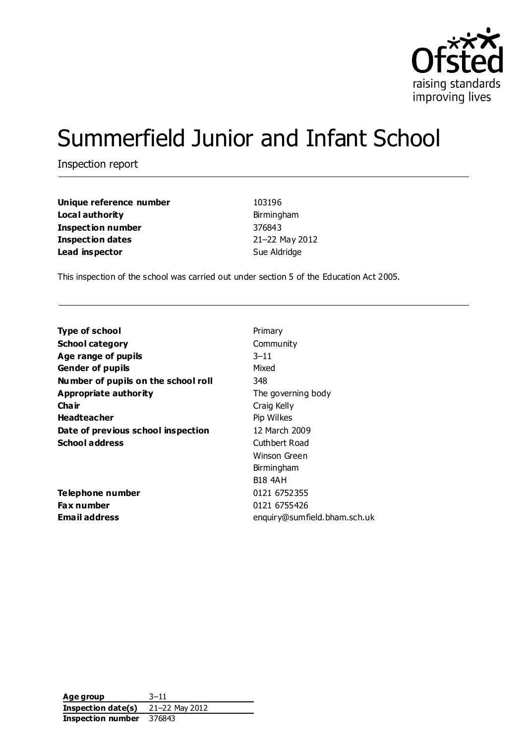

# Summerfield Junior and Infant School

Inspection report

| Unique reference number  | 103196         |
|--------------------------|----------------|
| Local authority          | Birmingham     |
| <b>Inspection number</b> | 376843         |
| <b>Inspection dates</b>  | 21-22 May 2012 |
| Lead inspector           | Sue Aldridge   |

This inspection of the school was carried out under section 5 of the Education Act 2005.

| <b>Type of school</b>               | Primary                      |
|-------------------------------------|------------------------------|
| <b>School category</b>              | Community                    |
| Age range of pupils                 | $3 - 11$                     |
| <b>Gender of pupils</b>             | Mixed                        |
| Number of pupils on the school roll | 348                          |
| Appropriate authority               | The governing body           |
| Cha ir                              | Craig Kelly                  |
| <b>Headteacher</b>                  | Pip Wilkes                   |
| Date of previous school inspection  | 12 March 2009                |
| <b>School address</b>               | Cuthbert Road                |
|                                     | Winson Green                 |
|                                     | Birmingham                   |
|                                     | <b>B18 4AH</b>               |
| Telephone number                    | 0121 6752355                 |
| <b>Fax number</b>                   | 0121 6755426                 |
| <b>Email address</b>                | enquiry@sumfield.bham.sch.uk |
|                                     |                              |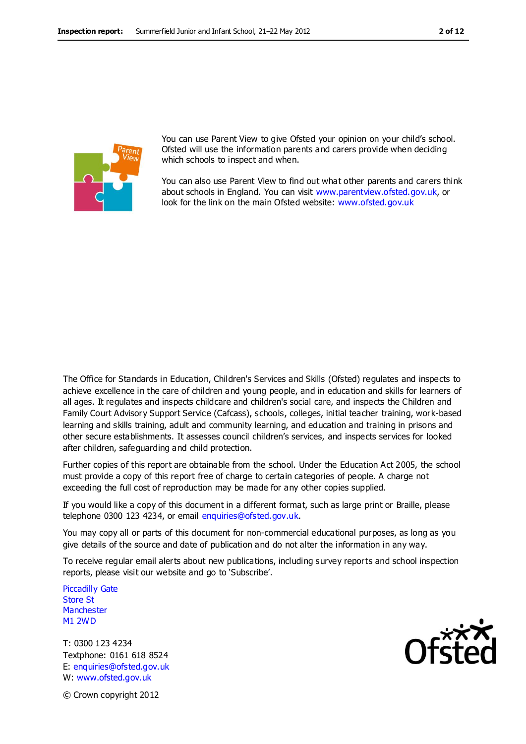

You can use Parent View to give Ofsted your opinion on your child's school. Ofsted will use the information parents and carers provide when deciding which schools to inspect and when.

You can also use Parent View to find out what other parents and carers think about schools in England. You can visit [www.parentview.ofsted.gov.uk,](http://www.parentview.ofsted.gov.uk/) or look for the link on the main Ofsted website: [www.ofsted.gov.uk](http://www.ofsted.gov.uk/)

The Office for Standards in Education, Children's Services and Skills (Ofsted) regulates and inspects to achieve excellence in the care of children and young people, and in education and skills for learners of all ages. It regulates and inspects childcare and children's social care, and inspects the Children and Family Court Advisory Support Service (Cafcass), schools, colleges, initial teacher training, work-based learning and skills training, adult and community learning, and education and training in prisons and other secure establishments. It assesses council children's services, and inspects services for looked after children, safeguarding and child protection.

Further copies of this report are obtainable from the school. Under the Education Act 2005, the school must provide a copy of this report free of charge to certain categories of people. A charge not exceeding the full cost of reproduction may be made for any other copies supplied.

If you would like a copy of this document in a different format, such as large print or Braille, please telephone 0300 123 4234, or email enquiries@ofsted.gov.uk.

You may copy all or parts of this document for non-commercial educational purposes, as long as you give details of the source and date of publication and do not alter the information in any way.

To receive regular email alerts about new publications, including survey reports and school inspection reports, please visit our website and go to 'Subscribe'.

Piccadilly Gate Store St **Manchester** M1 2WD

T: 0300 123 4234 Textphone: 0161 618 8524 E: enquiries@ofsted.gov.uk W: www.ofsted.gov.uk



© Crown copyright 2012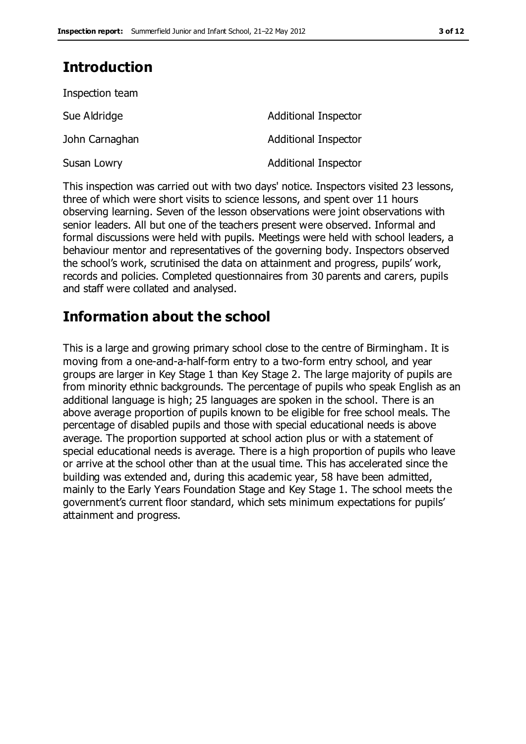### **Introduction**

| Inspection team |                             |
|-----------------|-----------------------------|
| Sue Aldridge    | <b>Additional Inspector</b> |
| John Carnaghan  | <b>Additional Inspector</b> |
| Susan Lowry     | <b>Additional Inspector</b> |

This inspection was carried out with two days' notice. Inspectors visited 23 lessons, three of which were short visits to science lessons, and spent over 11 hours observing learning. Seven of the lesson observations were joint observations with senior leaders. All but one of the teachers present were observed. Informal and formal discussions were held with pupils. Meetings were held with school leaders, a behaviour mentor and representatives of the governing body. Inspectors observed the school's work, scrutinised the data on attainment and progress, pupils' work, records and policies. Completed questionnaires from 30 parents and carers, pupils and staff were collated and analysed.

### **Information about the school**

This is a large and growing primary school close to the centre of Birmingham. It is moving from a one-and-a-half-form entry to a two-form entry school, and year groups are larger in Key Stage 1 than Key Stage 2. The large majority of pupils are from minority ethnic backgrounds. The percentage of pupils who speak English as an additional language is high; 25 languages are spoken in the school. There is an above average proportion of pupils known to be eligible for free school meals. The percentage of disabled pupils and those with special educational needs is above average. The proportion supported at school action plus or with a statement of special educational needs is average. There is a high proportion of pupils who leave or arrive at the school other than at the usual time. This has accelerated since the building was extended and, during this academic year, 58 have been admitted, mainly to the Early Years Foundation Stage and Key Stage 1. The school meets the government's current floor standard, which sets minimum expectations for pupils' attainment and progress.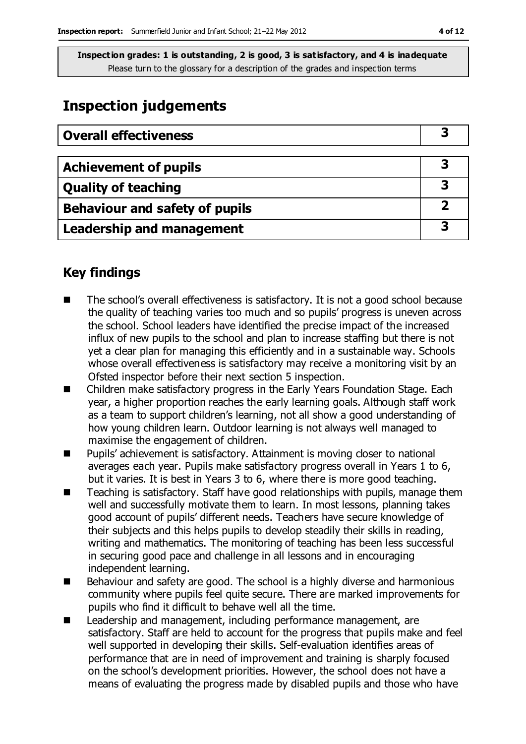### **Inspection judgements**

| <b>Overall effectiveness</b>          |  |
|---------------------------------------|--|
|                                       |  |
| <b>Achievement of pupils</b>          |  |
| <b>Quality of teaching</b>            |  |
| <b>Behaviour and safety of pupils</b> |  |
| <b>Leadership and management</b>      |  |

### **Key findings**

- The school's overall effectiveness is satisfactory. It is not a good school because the quality of teaching varies too much and so pupils' progress is uneven across the school. School leaders have identified the precise impact of the increased influx of new pupils to the school and plan to increase staffing but there is not yet a clear plan for managing this efficiently and in a sustainable way. Schools whose overall effectiveness is satisfactory may receive a monitoring visit by an Ofsted inspector before their next section 5 inspection.
- Children make satisfactory progress in the Early Years Foundation Stage. Each year, a higher proportion reaches the early learning goals. Although staff work as a team to support children's learning, not all show a good understanding of how young children learn. Outdoor learning is not always well managed to maximise the engagement of children.
- Pupils' achievement is satisfactory. Attainment is moving closer to national averages each year. Pupils make satisfactory progress overall in Years 1 to 6, but it varies. It is best in Years 3 to 6, where there is more good teaching.
- Teaching is satisfactory. Staff have good relationships with pupils, manage them well and successfully motivate them to learn. In most lessons, planning takes good account of pupils' different needs. Teachers have secure knowledge of their subjects and this helps pupils to develop steadily their skills in reading, writing and mathematics. The monitoring of teaching has been less successful in securing good pace and challenge in all lessons and in encouraging independent learning.
- Behaviour and safety are good. The school is a highly diverse and harmonious community where pupils feel quite secure. There are marked improvements for pupils who find it difficult to behave well all the time.
- Leadership and management, including performance management, are satisfactory. Staff are held to account for the progress that pupils make and feel well supported in developing their skills. Self-evaluation identifies areas of performance that are in need of improvement and training is sharply focused on the school's development priorities. However, the school does not have a means of evaluating the progress made by disabled pupils and those who have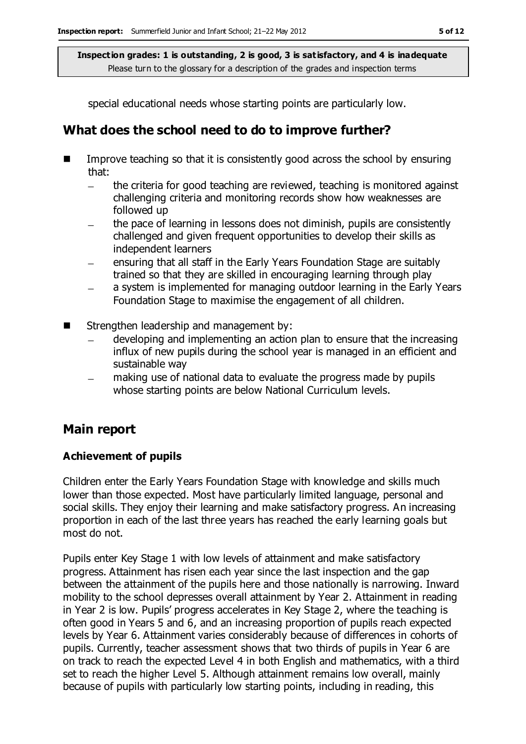special educational needs whose starting points are particularly low.

### **What does the school need to do to improve further?**

- Improve teaching so that it is consistently good across the school by ensuring that:
	- the criteria for good teaching are reviewed, teaching is monitored against  $\frac{1}{2}$ challenging criteria and monitoring records show how weaknesses are followed up
	- the pace of learning in lessons does not diminish, pupils are consistently challenged and given frequent opportunities to develop their skills as independent learners
	- ensuring that all staff in the Early Years Foundation Stage are suitably trained so that they are skilled in encouraging learning through play
	- a system is implemented for managing outdoor learning in the Early Years Foundation Stage to maximise the engagement of all children.
- Strengthen leadership and management by:
	- developing and implementing an action plan to ensure that the increasing influx of new pupils during the school year is managed in an efficient and sustainable way
	- making use of national data to evaluate the progress made by pupils whose starting points are below National Curriculum levels.

### **Main report**

### **Achievement of pupils**

Children enter the Early Years Foundation Stage with knowledge and skills much lower than those expected. Most have particularly limited language, personal and social skills. They enjoy their learning and make satisfactory progress. An increasing proportion in each of the last three years has reached the early learning goals but most do not.

Pupils enter Key Stage 1 with low levels of attainment and make satisfactory progress. Attainment has risen each year since the last inspection and the gap between the attainment of the pupils here and those nationally is narrowing. Inward mobility to the school depresses overall attainment by Year 2. Attainment in reading in Year 2 is low. Pupils' progress accelerates in Key Stage 2, where the teaching is often good in Years 5 and 6, and an increasing proportion of pupils reach expected levels by Year 6. Attainment varies considerably because of differences in cohorts of pupils. Currently, teacher assessment shows that two thirds of pupils in Year 6 are on track to reach the expected Level 4 in both English and mathematics, with a third set to reach the higher Level 5. Although attainment remains low overall, mainly because of pupils with particularly low starting points, including in reading, this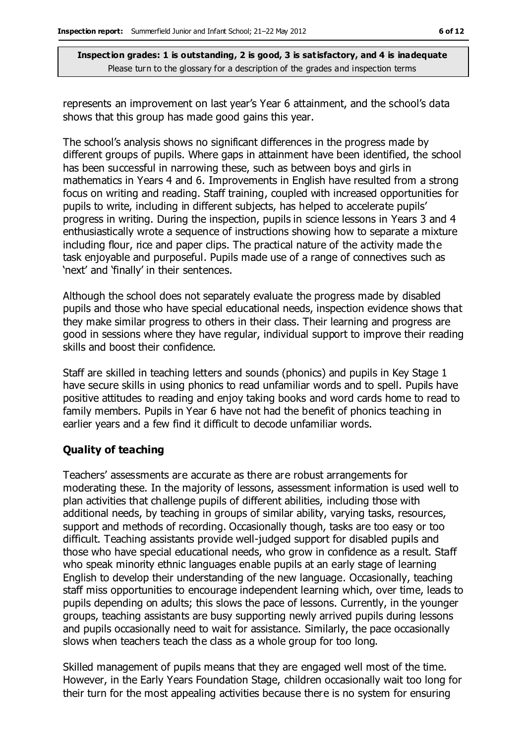represents an improvement on last year's Year 6 attainment, and the school's data shows that this group has made good gains this year.

The school's analysis shows no significant differences in the progress made by different groups of pupils. Where gaps in attainment have been identified, the school has been successful in narrowing these, such as between boys and girls in mathematics in Years 4 and 6. Improvements in English have resulted from a strong focus on writing and reading. Staff training, coupled with increased opportunities for pupils to write, including in different subjects, has helped to accelerate pupils' progress in writing. During the inspection, pupils in science lessons in Years 3 and 4 enthusiastically wrote a sequence of instructions showing how to separate a mixture including flour, rice and paper clips. The practical nature of the activity made the task enjoyable and purposeful. Pupils made use of a range of connectives such as 'next' and 'finally' in their sentences.

Although the school does not separately evaluate the progress made by disabled pupils and those who have special educational needs, inspection evidence shows that they make similar progress to others in their class. Their learning and progress are good in sessions where they have regular, individual support to improve their reading skills and boost their confidence.

Staff are skilled in teaching letters and sounds (phonics) and pupils in Key Stage 1 have secure skills in using phonics to read unfamiliar words and to spell. Pupils have positive attitudes to reading and enjoy taking books and word cards home to read to family members. Pupils in Year 6 have not had the benefit of phonics teaching in earlier years and a few find it difficult to decode unfamiliar words.

#### **Quality of teaching**

Teachers' assessments are accurate as there are robust arrangements for moderating these. In the majority of lessons, assessment information is used well to plan activities that challenge pupils of different abilities, including those with additional needs, by teaching in groups of similar ability, varying tasks, resources, support and methods of recording. Occasionally though, tasks are too easy or too difficult. Teaching assistants provide well-judged support for disabled pupils and those who have special educational needs, who grow in confidence as a result. Staff who speak minority ethnic languages enable pupils at an early stage of learning English to develop their understanding of the new language. Occasionally, teaching staff miss opportunities to encourage independent learning which, over time, leads to pupils depending on adults; this slows the pace of lessons. Currently, in the younger groups, teaching assistants are busy supporting newly arrived pupils during lessons and pupils occasionally need to wait for assistance. Similarly, the pace occasionally slows when teachers teach the class as a whole group for too long.

Skilled management of pupils means that they are engaged well most of the time. However, in the Early Years Foundation Stage, children occasionally wait too long for their turn for the most appealing activities because there is no system for ensuring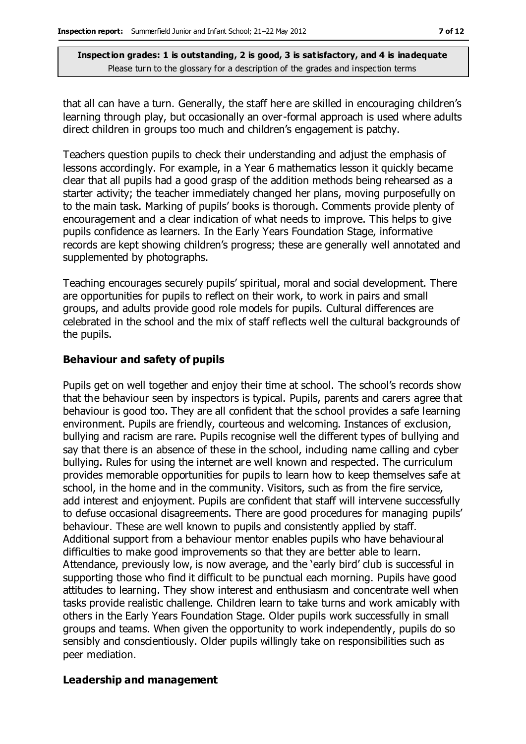that all can have a turn. Generally, the staff here are skilled in encouraging children's learning through play, but occasionally an over-formal approach is used where adults direct children in groups too much and children's engagement is patchy.

Teachers question pupils to check their understanding and adjust the emphasis of lessons accordingly. For example, in a Year 6 mathematics lesson it quickly became clear that all pupils had a good grasp of the addition methods being rehearsed as a starter activity; the teacher immediately changed her plans, moving purposefully on to the main task. Marking of pupils' books is thorough. Comments provide plenty of encouragement and a clear indication of what needs to improve. This helps to give pupils confidence as learners. In the Early Years Foundation Stage, informative records are kept showing children's progress; these are generally well annotated and supplemented by photographs.

Teaching encourages securely pupils' spiritual, moral and social development. There are opportunities for pupils to reflect on their work, to work in pairs and small groups, and adults provide good role models for pupils. Cultural differences are celebrated in the school and the mix of staff reflects well the cultural backgrounds of the pupils.

#### **Behaviour and safety of pupils**

Pupils get on well together and enjoy their time at school. The school's records show that the behaviour seen by inspectors is typical. Pupils, parents and carers agree that behaviour is good too. They are all confident that the school provides a safe learning environment. Pupils are friendly, courteous and welcoming. Instances of exclusion, bullying and racism are rare. Pupils recognise well the different types of bullying and say that there is an absence of these in the school, including name calling and cyber bullying. Rules for using the internet are well known and respected. The curriculum provides memorable opportunities for pupils to learn how to keep themselves safe at school, in the home and in the community. Visitors, such as from the fire service, add interest and enjoyment. Pupils are confident that staff will intervene successfully to defuse occasional disagreements. There are good procedures for managing pupils' behaviour. These are well known to pupils and consistently applied by staff. Additional support from a behaviour mentor enables pupils who have behavioural difficulties to make good improvements so that they are better able to learn. Attendance, previously low, is now average, and the 'early bird' club is successful in supporting those who find it difficult to be punctual each morning. Pupils have good attitudes to learning. They show interest and enthusiasm and concentrate well when tasks provide realistic challenge. Children learn to take turns and work amicably with others in the Early Years Foundation Stage. Older pupils work successfully in small groups and teams. When given the opportunity to work independently, pupils do so sensibly and conscientiously. Older pupils willingly take on responsibilities such as peer mediation.

#### **Leadership and management**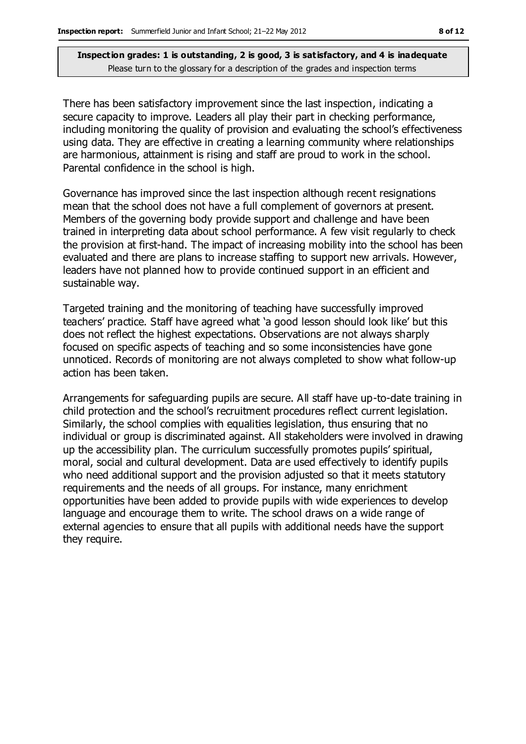There has been satisfactory improvement since the last inspection, indicating a secure capacity to improve. Leaders all play their part in checking performance, including monitoring the quality of provision and evaluating the school's effectiveness using data. They are effective in creating a learning community where relationships are harmonious, attainment is rising and staff are proud to work in the school. Parental confidence in the school is high.

Governance has improved since the last inspection although recent resignations mean that the school does not have a full complement of governors at present. Members of the governing body provide support and challenge and have been trained in interpreting data about school performance. A few visit regularly to check the provision at first-hand. The impact of increasing mobility into the school has been evaluated and there are plans to increase staffing to support new arrivals. However, leaders have not planned how to provide continued support in an efficient and sustainable way.

Targeted training and the monitoring of teaching have successfully improved teachers' practice. Staff have agreed what 'a good lesson should look like' but this does not reflect the highest expectations. Observations are not always sharply focused on specific aspects of teaching and so some inconsistencies have gone unnoticed. Records of monitoring are not always completed to show what follow-up action has been taken.

Arrangements for safeguarding pupils are secure. All staff have up-to-date training in child protection and the school's recruitment procedures reflect current legislation. Similarly, the school complies with equalities legislation, thus ensuring that no individual or group is discriminated against. All stakeholders were involved in drawing up the accessibility plan. The curriculum successfully promotes pupils' spiritual, moral, social and cultural development. Data are used effectively to identify pupils who need additional support and the provision adjusted so that it meets statutory requirements and the needs of all groups. For instance, many enrichment opportunities have been added to provide pupils with wide experiences to develop language and encourage them to write. The school draws on a wide range of external agencies to ensure that all pupils with additional needs have the support they require.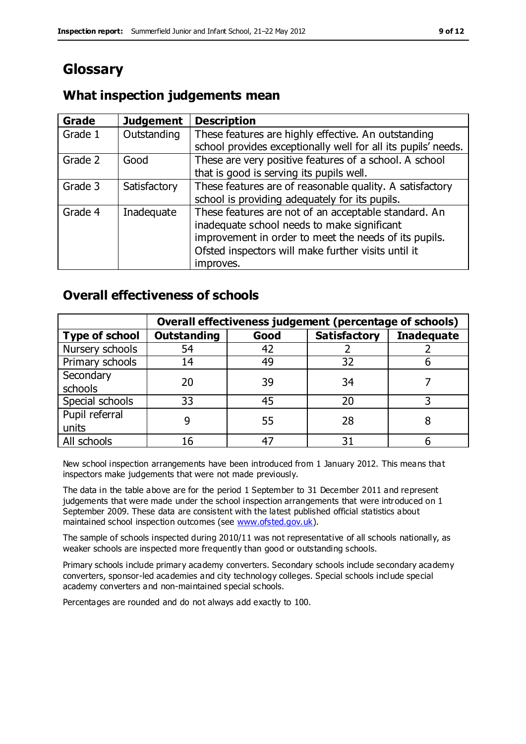### **Glossary**

#### **Grade Judgement Description** Grade  $1$  | Outstanding | These features are highly effective. An outstanding school provides exceptionally well for all its pupils' needs. Grade 2 Good These are very positive features of a school. A school that is good is serving its pupils well. Grade 3  $\parallel$  Satisfactory  $\parallel$  These features are of reasonable quality. A satisfactory school is providing adequately for its pupils. Grade 4  $\parallel$  Inadequate  $\parallel$  These features are not of an acceptable standard. An inadequate school needs to make significant improvement in order to meet the needs of its pupils. Ofsted inspectors will make further visits until it improves.

### **What inspection judgements mean**

### **Overall effectiveness of schools**

|                       | Overall effectiveness judgement (percentage of schools) |      |                     |                   |
|-----------------------|---------------------------------------------------------|------|---------------------|-------------------|
| <b>Type of school</b> | <b>Outstanding</b>                                      | Good | <b>Satisfactory</b> | <b>Inadequate</b> |
| Nursery schools       | 54                                                      | 42   |                     |                   |
| Primary schools       | 14                                                      | 49   | 32                  |                   |
| Secondary             | 20                                                      | 39   | 34                  |                   |
| schools               |                                                         |      |                     |                   |
| Special schools       | 33                                                      | 45   | 20                  |                   |
| Pupil referral        | q                                                       | 55   | 28                  |                   |
| units                 |                                                         |      |                     |                   |
| All schools           | 16                                                      | 47   | م -                 |                   |

New school inspection arrangements have been introduced from 1 January 2012. This means that inspectors make judgements that were not made previously.

The data in the table above are for the period 1 September to 31 December 2011 and represent judgements that were made under the school inspection arrangements that were introduced on 1 September 2009. These data are consistent with the latest published official statistics about maintained school inspection outcomes (see [www.ofsted.gov.uk\)](http://www.ofsted.gov.uk/).

The sample of schools inspected during 2010/11 was not representative of all schools nationally, as weaker schools are inspected more frequently than good or outstanding schools.

Primary schools include primary academy converters. Secondary schools include secondary academy converters, sponsor-led academies and city technology colleges. Special schools include special academy converters and non-maintained special schools.

Percentages are rounded and do not always add exactly to 100.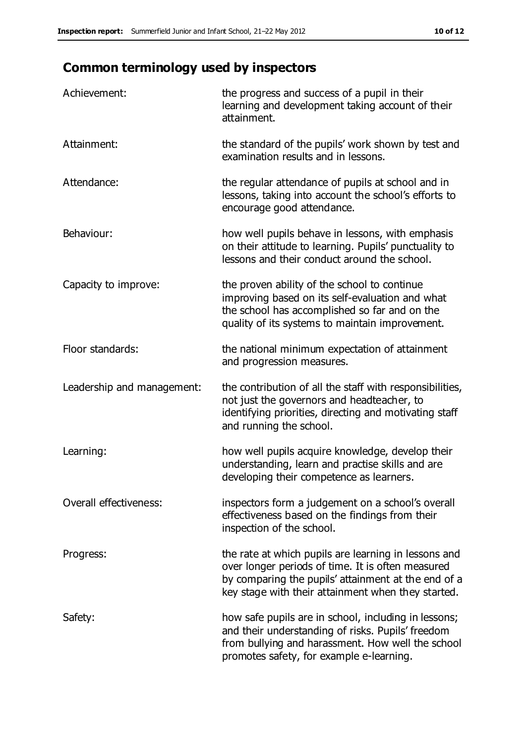## **Common terminology used by inspectors**

| Achievement:               | the progress and success of a pupil in their<br>learning and development taking account of their<br>attainment.                                                                                                        |
|----------------------------|------------------------------------------------------------------------------------------------------------------------------------------------------------------------------------------------------------------------|
| Attainment:                | the standard of the pupils' work shown by test and<br>examination results and in lessons.                                                                                                                              |
| Attendance:                | the regular attendance of pupils at school and in<br>lessons, taking into account the school's efforts to<br>encourage good attendance.                                                                                |
| Behaviour:                 | how well pupils behave in lessons, with emphasis<br>on their attitude to learning. Pupils' punctuality to<br>lessons and their conduct around the school.                                                              |
| Capacity to improve:       | the proven ability of the school to continue<br>improving based on its self-evaluation and what<br>the school has accomplished so far and on the<br>quality of its systems to maintain improvement.                    |
| Floor standards:           | the national minimum expectation of attainment<br>and progression measures.                                                                                                                                            |
| Leadership and management: | the contribution of all the staff with responsibilities,<br>not just the governors and headteacher, to<br>identifying priorities, directing and motivating staff<br>and running the school.                            |
| Learning:                  | how well pupils acquire knowledge, develop their<br>understanding, learn and practise skills and are<br>developing their competence as learners.                                                                       |
| Overall effectiveness:     | inspectors form a judgement on a school's overall<br>effectiveness based on the findings from their<br>inspection of the school.                                                                                       |
| Progress:                  | the rate at which pupils are learning in lessons and<br>over longer periods of time. It is often measured<br>by comparing the pupils' attainment at the end of a<br>key stage with their attainment when they started. |
| Safety:                    | how safe pupils are in school, including in lessons;<br>and their understanding of risks. Pupils' freedom<br>from bullying and harassment. How well the school<br>promotes safety, for example e-learning.             |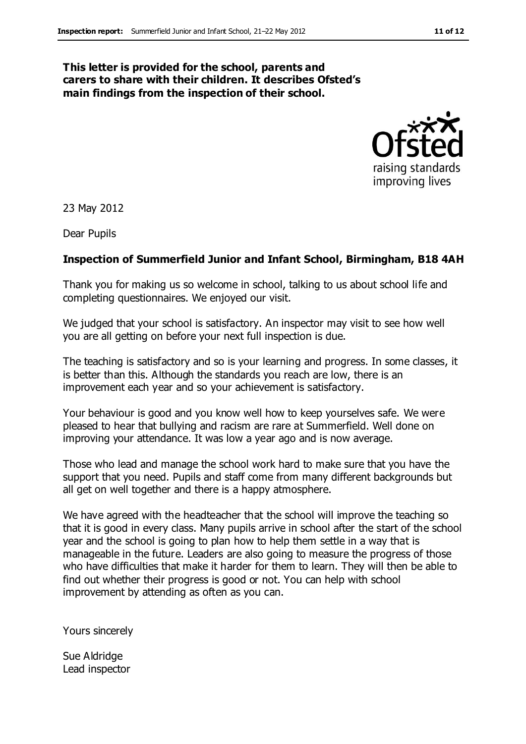#### **This letter is provided for the school, parents and carers to share with their children. It describes Ofsted's main findings from the inspection of their school.**



23 May 2012

Dear Pupils

#### **Inspection of Summerfield Junior and Infant School, Birmingham, B18 4AH**

Thank you for making us so welcome in school, talking to us about school life and completing questionnaires. We enjoyed our visit.

We judged that your school is satisfactory. An inspector may visit to see how well you are all getting on before your next full inspection is due.

The teaching is satisfactory and so is your learning and progress. In some classes, it is better than this. Although the standards you reach are low, there is an improvement each year and so your achievement is satisfactory.

Your behaviour is good and you know well how to keep yourselves safe. We were pleased to hear that bullying and racism are rare at Summerfield. Well done on improving your attendance. It was low a year ago and is now average.

Those who lead and manage the school work hard to make sure that you have the support that you need. Pupils and staff come from many different backgrounds but all get on well together and there is a happy atmosphere.

We have agreed with the headteacher that the school will improve the teaching so that it is good in every class. Many pupils arrive in school after the start of the school year and the school is going to plan how to help them settle in a way that is manageable in the future. Leaders are also going to measure the progress of those who have difficulties that make it harder for them to learn. They will then be able to find out whether their progress is good or not. You can help with school improvement by attending as often as you can.

Yours sincerely

Sue Aldridge Lead inspector